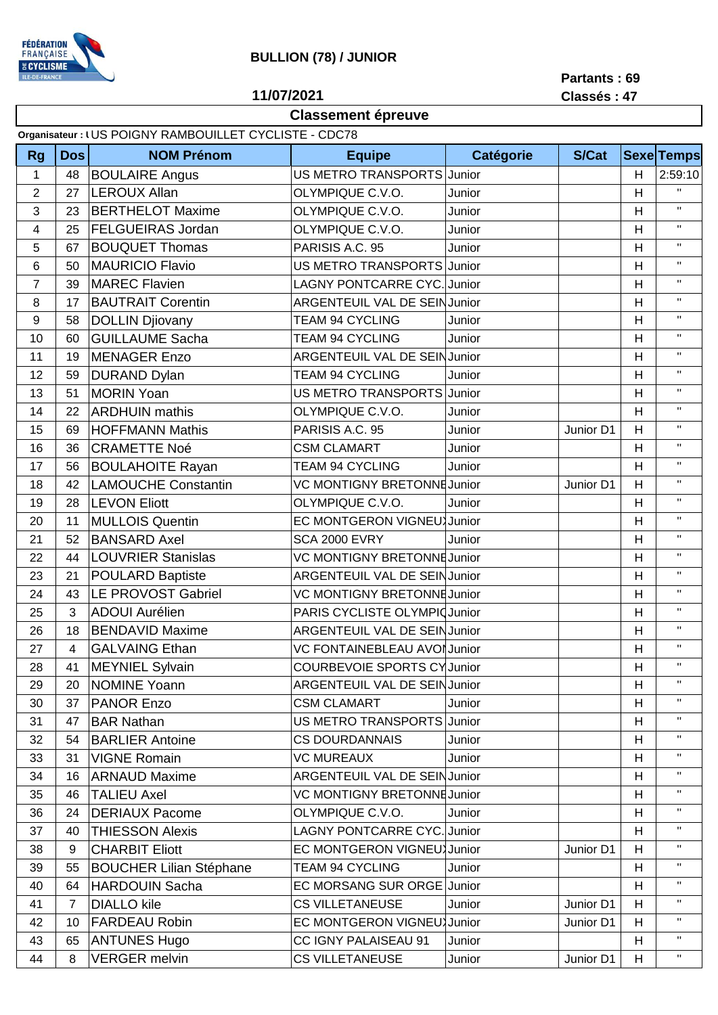

## **BULLION (78) / JUNIOR**

**Partants : 69**

**11/07/2021**

## **Classement épreuve**

|  |  |  |  | Classés: 47 |  |
|--|--|--|--|-------------|--|

| <b>Equipe</b><br><b>Catégorie</b><br><b>S/Cat</b><br><b>Dos</b><br><b>NOM Prénom</b><br><b>Sexe Temps</b><br><b>Rg</b><br>$\mathbf{1}$<br>US METRO TRANSPORTS Junior<br><b>BOULAIRE Angus</b><br>2:59:10<br>48<br>H<br>$\overline{2}$<br>$\mathbf{H}$<br><b>LEROUX Allan</b><br>27<br>OLYMPIQUE C.V.O.<br>Junior<br>H<br>$\mathbf{H}$<br>3<br><b>BERTHELOT Maxime</b><br>OLYMPIQUE C.V.O.<br>H<br>23<br>Junior<br>$\mathbf{H}$<br><b>FELGUEIRAS Jordan</b><br>OLYMPIQUE C.V.O.<br>4<br>25<br>Junior<br>H<br>$\mathbf{H}$<br>5<br>67<br><b>BOUQUET Thomas</b><br>PARISIS A.C. 95<br>H<br>Junior<br>$\mathbf{H}$<br>6<br><b>MAURICIO Flavio</b><br>US METRO TRANSPORTS Junior<br>H<br>50<br>$\mathbf{H}$<br>$\overline{7}$<br><b>LAGNY PONTCARRE CYC. Junior</b><br>H<br>39<br><b>MAREC Flavien</b><br>$\mathbf{H}$<br><b>BAUTRAIT Corentin</b><br><b>ARGENTEUIL VAL DE SEINJunior</b><br>$\,8\,$<br>17<br>H<br>$\mathbf{H}$<br>$\boldsymbol{9}$<br>H<br>58<br><b>DOLLIN Djiovany</b><br><b>TEAM 94 CYCLING</b><br>Junior<br>$\mathbf H$<br><b>GUILLAUME Sacha</b><br>10<br>Junior<br>H<br><b>TEAM 94 CYCLING</b><br>60<br>$\mathbf{H}$<br>H<br>11<br><b>MENAGER Enzo</b><br>ARGENTEUIL VAL DE SEIN Junior<br>19<br>$\mathbf H$<br><b>DURAND Dylan</b><br>12<br><b>TEAM 94 CYCLING</b><br>Junior<br>H<br>59<br>$\mathbf H$<br><b>MORIN Yoan</b><br>13<br>H<br>51<br>US METRO TRANSPORTS Junior<br>$\mathbf H$<br><b>ARDHUIN</b> mathis<br>H<br>14<br>22<br>OLYMPIQUE C.V.O.<br>Junior<br>$\mathbf H$<br>15<br><b>HOFFMANN Mathis</b><br>PARISIS A.C. 95<br>H<br>69<br>Junior D1<br>Junior<br>$\mathbf H$<br><b>CRAMETTE Noé</b><br><b>CSM CLAMART</b><br>H<br>16<br>36<br>Junior<br>$\mathbf H$<br>H<br>17<br><b>BOULAHOITE Rayan</b><br><b>TEAM 94 CYCLING</b><br>56<br>Junior<br><b>LAMOUCHE Constantin</b><br>$\mathbf{H}$<br>VC MONTIGNY BRETONNE Junior<br>H<br>18<br>42<br>Junior D1<br>$\mathbf H$<br><b>LEVON Eliott</b><br>28<br>OLYMPIQUE C.V.O.<br>H<br>19<br>Junior<br>$\mathbf H$<br><b>MULLOIS Quentin</b><br>EC MONTGERON VIGNEU Junior<br>H<br>20<br>11<br>$\mathbf H$<br>21<br>52<br><b>BANSARD Axel</b><br><b>SCA 2000 EVRY</b><br>H<br>Junior<br>$\mathbf H$<br>22<br><b>LOUVRIER Stanislas</b><br>VC MONTIGNY BRETONNE Junior<br>H<br>44<br>$\mathbf H$<br><b>POULARD Baptiste</b><br>ARGENTEUIL VAL DE SEIN Junior<br>H<br>23<br>21<br>$\mathbf H$<br>LE PROVOST Gabriel<br>24<br>43<br><b>VC MONTIGNY BRETONNE Junior</b><br>H<br>$\mathbf{H}$<br>3<br><b>ADOUI Aurélien</b><br>PARIS CYCLISTE OLYMPIC Junior<br>H<br>25<br>$\mathbf{H}$<br>26<br><b>BENDAVID Maxime</b><br>ARGENTEUIL VAL DE SEIN Junior<br>H<br>18<br>$\mathbf{H}$<br>27<br>$\overline{\mathbf{4}}$<br><b>GALVAING Ethan</b><br>VC FONTAINEBLEAU AVOI Junior<br>H<br>MEYNIEL Sylvain<br>COURBEVOIE SPORTS CY Junior<br>28<br>41<br>H<br>$\mathbf{H}$<br>$\mathbf{H}$<br>29<br><b>NOMINE Yoann</b><br><b>ARGENTEUIL VAL DE SEINJunior</b><br>H<br>20<br>$\mathbf{H}$<br>30<br><b>PANOR Enzo</b><br><b>CSM CLAMART</b><br>H<br>37<br>Junior<br>$\mathbf{H}$<br>US METRO TRANSPORTS Junior<br>47<br><b>BAR Nathan</b><br>H<br>31<br>$\mathbf H$<br>H<br>32<br><b>BARLIER Antoine</b><br><b>CS DOURDANNAIS</b><br>54<br>Junior<br>Η.<br><b>VIGNE Romain</b><br><b>VC MUREAUX</b><br>33<br>31<br>Junior<br>H<br>$\mathbf H$<br>ARGENTEUIL VAL DE SEIN Junior<br>34<br><b>ARNAUD Maxime</b><br>H<br>16<br>$\mathbf H$<br>VC MONTIGNY BRETONNE Junior<br>35<br>46<br><b>TALIEU Axel</b><br>H<br>$\mathbf{H}$<br><b>DERIAUX Pacome</b><br>OLYMPIQUE C.V.O.<br>H<br>36<br>24<br>Junior<br><b>LAGNY PONTCARRE CYC. Junior</b><br>Η.<br><b>THIESSON Alexis</b><br>37<br>40<br>H<br>Π.<br><b>CHARBIT Eliott</b><br>EC MONTGERON VIGNEU Junior<br>Junior D1<br>H<br>38<br>9<br>$\mathbf H$<br>55<br><b>BOUCHER Lilian Stéphane</b><br>H<br>39<br>TEAM 94 CYCLING<br>Junior<br>Π.<br><b>HARDOUIN Sacha</b><br>EC MORSANG SUR ORGE Junior<br>H<br>40<br>64<br>Π.<br>$\overline{7}$<br><b>DIALLO</b> kile<br><b>CS VILLETANEUSE</b><br>H<br>41<br>Junior<br>Junior D1<br>Π.<br>EC MONTGERON VIGNEU Junior | Organisateur : I US POIGNY RAMBOUILLET CYCLISTE - CDC78 |    |                      |  |  |           |   |  |  |  |
|---------------------------------------------------------------------------------------------------------------------------------------------------------------------------------------------------------------------------------------------------------------------------------------------------------------------------------------------------------------------------------------------------------------------------------------------------------------------------------------------------------------------------------------------------------------------------------------------------------------------------------------------------------------------------------------------------------------------------------------------------------------------------------------------------------------------------------------------------------------------------------------------------------------------------------------------------------------------------------------------------------------------------------------------------------------------------------------------------------------------------------------------------------------------------------------------------------------------------------------------------------------------------------------------------------------------------------------------------------------------------------------------------------------------------------------------------------------------------------------------------------------------------------------------------------------------------------------------------------------------------------------------------------------------------------------------------------------------------------------------------------------------------------------------------------------------------------------------------------------------------------------------------------------------------------------------------------------------------------------------------------------------------------------------------------------------------------------------------------------------------------------------------------------------------------------------------------------------------------------------------------------------------------------------------------------------------------------------------------------------------------------------------------------------------------------------------------------------------------------------------------------------------------------------------------------------------------------------------------------------------------------------------------------------------------------------------------------------------------------------------------------------------------------------------------------------------------------------------------------------------------------------------------------------------------------------------------------------------------------------------------------------------------------------------------------------------------------------------------------------------------------------------------------------------------------------------------------------------------------------------------------------------------------------------------------------------------------------------------------------------------------------------------------------------------------------------------------------------------------------------------------------------------------------------------------------------------------------------------------------------------------------------------------------------------------------------------------------------------------------------------------------------------------------------------------------------------------------------------------------------------------------------------------------------------------------------------------------------------------------------------------------------------------------------------------------------------|---------------------------------------------------------|----|----------------------|--|--|-----------|---|--|--|--|
|                                                                                                                                                                                                                                                                                                                                                                                                                                                                                                                                                                                                                                                                                                                                                                                                                                                                                                                                                                                                                                                                                                                                                                                                                                                                                                                                                                                                                                                                                                                                                                                                                                                                                                                                                                                                                                                                                                                                                                                                                                                                                                                                                                                                                                                                                                                                                                                                                                                                                                                                                                                                                                                                                                                                                                                                                                                                                                                                                                                                                                                                                                                                                                                                                                                                                                                                                                                                                                                                                                                                                                                                                                                                                                                                                                                                                                                                                                                                                                                                                                                                                 |                                                         |    |                      |  |  |           |   |  |  |  |
|                                                                                                                                                                                                                                                                                                                                                                                                                                                                                                                                                                                                                                                                                                                                                                                                                                                                                                                                                                                                                                                                                                                                                                                                                                                                                                                                                                                                                                                                                                                                                                                                                                                                                                                                                                                                                                                                                                                                                                                                                                                                                                                                                                                                                                                                                                                                                                                                                                                                                                                                                                                                                                                                                                                                                                                                                                                                                                                                                                                                                                                                                                                                                                                                                                                                                                                                                                                                                                                                                                                                                                                                                                                                                                                                                                                                                                                                                                                                                                                                                                                                                 |                                                         |    |                      |  |  |           |   |  |  |  |
|                                                                                                                                                                                                                                                                                                                                                                                                                                                                                                                                                                                                                                                                                                                                                                                                                                                                                                                                                                                                                                                                                                                                                                                                                                                                                                                                                                                                                                                                                                                                                                                                                                                                                                                                                                                                                                                                                                                                                                                                                                                                                                                                                                                                                                                                                                                                                                                                                                                                                                                                                                                                                                                                                                                                                                                                                                                                                                                                                                                                                                                                                                                                                                                                                                                                                                                                                                                                                                                                                                                                                                                                                                                                                                                                                                                                                                                                                                                                                                                                                                                                                 |                                                         |    |                      |  |  |           |   |  |  |  |
|                                                                                                                                                                                                                                                                                                                                                                                                                                                                                                                                                                                                                                                                                                                                                                                                                                                                                                                                                                                                                                                                                                                                                                                                                                                                                                                                                                                                                                                                                                                                                                                                                                                                                                                                                                                                                                                                                                                                                                                                                                                                                                                                                                                                                                                                                                                                                                                                                                                                                                                                                                                                                                                                                                                                                                                                                                                                                                                                                                                                                                                                                                                                                                                                                                                                                                                                                                                                                                                                                                                                                                                                                                                                                                                                                                                                                                                                                                                                                                                                                                                                                 |                                                         |    |                      |  |  |           |   |  |  |  |
|                                                                                                                                                                                                                                                                                                                                                                                                                                                                                                                                                                                                                                                                                                                                                                                                                                                                                                                                                                                                                                                                                                                                                                                                                                                                                                                                                                                                                                                                                                                                                                                                                                                                                                                                                                                                                                                                                                                                                                                                                                                                                                                                                                                                                                                                                                                                                                                                                                                                                                                                                                                                                                                                                                                                                                                                                                                                                                                                                                                                                                                                                                                                                                                                                                                                                                                                                                                                                                                                                                                                                                                                                                                                                                                                                                                                                                                                                                                                                                                                                                                                                 |                                                         |    |                      |  |  |           |   |  |  |  |
|                                                                                                                                                                                                                                                                                                                                                                                                                                                                                                                                                                                                                                                                                                                                                                                                                                                                                                                                                                                                                                                                                                                                                                                                                                                                                                                                                                                                                                                                                                                                                                                                                                                                                                                                                                                                                                                                                                                                                                                                                                                                                                                                                                                                                                                                                                                                                                                                                                                                                                                                                                                                                                                                                                                                                                                                                                                                                                                                                                                                                                                                                                                                                                                                                                                                                                                                                                                                                                                                                                                                                                                                                                                                                                                                                                                                                                                                                                                                                                                                                                                                                 |                                                         |    |                      |  |  |           |   |  |  |  |
|                                                                                                                                                                                                                                                                                                                                                                                                                                                                                                                                                                                                                                                                                                                                                                                                                                                                                                                                                                                                                                                                                                                                                                                                                                                                                                                                                                                                                                                                                                                                                                                                                                                                                                                                                                                                                                                                                                                                                                                                                                                                                                                                                                                                                                                                                                                                                                                                                                                                                                                                                                                                                                                                                                                                                                                                                                                                                                                                                                                                                                                                                                                                                                                                                                                                                                                                                                                                                                                                                                                                                                                                                                                                                                                                                                                                                                                                                                                                                                                                                                                                                 |                                                         |    |                      |  |  |           |   |  |  |  |
|                                                                                                                                                                                                                                                                                                                                                                                                                                                                                                                                                                                                                                                                                                                                                                                                                                                                                                                                                                                                                                                                                                                                                                                                                                                                                                                                                                                                                                                                                                                                                                                                                                                                                                                                                                                                                                                                                                                                                                                                                                                                                                                                                                                                                                                                                                                                                                                                                                                                                                                                                                                                                                                                                                                                                                                                                                                                                                                                                                                                                                                                                                                                                                                                                                                                                                                                                                                                                                                                                                                                                                                                                                                                                                                                                                                                                                                                                                                                                                                                                                                                                 |                                                         |    |                      |  |  |           |   |  |  |  |
|                                                                                                                                                                                                                                                                                                                                                                                                                                                                                                                                                                                                                                                                                                                                                                                                                                                                                                                                                                                                                                                                                                                                                                                                                                                                                                                                                                                                                                                                                                                                                                                                                                                                                                                                                                                                                                                                                                                                                                                                                                                                                                                                                                                                                                                                                                                                                                                                                                                                                                                                                                                                                                                                                                                                                                                                                                                                                                                                                                                                                                                                                                                                                                                                                                                                                                                                                                                                                                                                                                                                                                                                                                                                                                                                                                                                                                                                                                                                                                                                                                                                                 |                                                         |    |                      |  |  |           |   |  |  |  |
|                                                                                                                                                                                                                                                                                                                                                                                                                                                                                                                                                                                                                                                                                                                                                                                                                                                                                                                                                                                                                                                                                                                                                                                                                                                                                                                                                                                                                                                                                                                                                                                                                                                                                                                                                                                                                                                                                                                                                                                                                                                                                                                                                                                                                                                                                                                                                                                                                                                                                                                                                                                                                                                                                                                                                                                                                                                                                                                                                                                                                                                                                                                                                                                                                                                                                                                                                                                                                                                                                                                                                                                                                                                                                                                                                                                                                                                                                                                                                                                                                                                                                 |                                                         |    |                      |  |  |           |   |  |  |  |
|                                                                                                                                                                                                                                                                                                                                                                                                                                                                                                                                                                                                                                                                                                                                                                                                                                                                                                                                                                                                                                                                                                                                                                                                                                                                                                                                                                                                                                                                                                                                                                                                                                                                                                                                                                                                                                                                                                                                                                                                                                                                                                                                                                                                                                                                                                                                                                                                                                                                                                                                                                                                                                                                                                                                                                                                                                                                                                                                                                                                                                                                                                                                                                                                                                                                                                                                                                                                                                                                                                                                                                                                                                                                                                                                                                                                                                                                                                                                                                                                                                                                                 |                                                         |    |                      |  |  |           |   |  |  |  |
|                                                                                                                                                                                                                                                                                                                                                                                                                                                                                                                                                                                                                                                                                                                                                                                                                                                                                                                                                                                                                                                                                                                                                                                                                                                                                                                                                                                                                                                                                                                                                                                                                                                                                                                                                                                                                                                                                                                                                                                                                                                                                                                                                                                                                                                                                                                                                                                                                                                                                                                                                                                                                                                                                                                                                                                                                                                                                                                                                                                                                                                                                                                                                                                                                                                                                                                                                                                                                                                                                                                                                                                                                                                                                                                                                                                                                                                                                                                                                                                                                                                                                 |                                                         |    |                      |  |  |           |   |  |  |  |
|                                                                                                                                                                                                                                                                                                                                                                                                                                                                                                                                                                                                                                                                                                                                                                                                                                                                                                                                                                                                                                                                                                                                                                                                                                                                                                                                                                                                                                                                                                                                                                                                                                                                                                                                                                                                                                                                                                                                                                                                                                                                                                                                                                                                                                                                                                                                                                                                                                                                                                                                                                                                                                                                                                                                                                                                                                                                                                                                                                                                                                                                                                                                                                                                                                                                                                                                                                                                                                                                                                                                                                                                                                                                                                                                                                                                                                                                                                                                                                                                                                                                                 |                                                         |    |                      |  |  |           |   |  |  |  |
|                                                                                                                                                                                                                                                                                                                                                                                                                                                                                                                                                                                                                                                                                                                                                                                                                                                                                                                                                                                                                                                                                                                                                                                                                                                                                                                                                                                                                                                                                                                                                                                                                                                                                                                                                                                                                                                                                                                                                                                                                                                                                                                                                                                                                                                                                                                                                                                                                                                                                                                                                                                                                                                                                                                                                                                                                                                                                                                                                                                                                                                                                                                                                                                                                                                                                                                                                                                                                                                                                                                                                                                                                                                                                                                                                                                                                                                                                                                                                                                                                                                                                 |                                                         |    |                      |  |  |           |   |  |  |  |
|                                                                                                                                                                                                                                                                                                                                                                                                                                                                                                                                                                                                                                                                                                                                                                                                                                                                                                                                                                                                                                                                                                                                                                                                                                                                                                                                                                                                                                                                                                                                                                                                                                                                                                                                                                                                                                                                                                                                                                                                                                                                                                                                                                                                                                                                                                                                                                                                                                                                                                                                                                                                                                                                                                                                                                                                                                                                                                                                                                                                                                                                                                                                                                                                                                                                                                                                                                                                                                                                                                                                                                                                                                                                                                                                                                                                                                                                                                                                                                                                                                                                                 |                                                         |    |                      |  |  |           |   |  |  |  |
|                                                                                                                                                                                                                                                                                                                                                                                                                                                                                                                                                                                                                                                                                                                                                                                                                                                                                                                                                                                                                                                                                                                                                                                                                                                                                                                                                                                                                                                                                                                                                                                                                                                                                                                                                                                                                                                                                                                                                                                                                                                                                                                                                                                                                                                                                                                                                                                                                                                                                                                                                                                                                                                                                                                                                                                                                                                                                                                                                                                                                                                                                                                                                                                                                                                                                                                                                                                                                                                                                                                                                                                                                                                                                                                                                                                                                                                                                                                                                                                                                                                                                 |                                                         |    |                      |  |  |           |   |  |  |  |
|                                                                                                                                                                                                                                                                                                                                                                                                                                                                                                                                                                                                                                                                                                                                                                                                                                                                                                                                                                                                                                                                                                                                                                                                                                                                                                                                                                                                                                                                                                                                                                                                                                                                                                                                                                                                                                                                                                                                                                                                                                                                                                                                                                                                                                                                                                                                                                                                                                                                                                                                                                                                                                                                                                                                                                                                                                                                                                                                                                                                                                                                                                                                                                                                                                                                                                                                                                                                                                                                                                                                                                                                                                                                                                                                                                                                                                                                                                                                                                                                                                                                                 |                                                         |    |                      |  |  |           |   |  |  |  |
|                                                                                                                                                                                                                                                                                                                                                                                                                                                                                                                                                                                                                                                                                                                                                                                                                                                                                                                                                                                                                                                                                                                                                                                                                                                                                                                                                                                                                                                                                                                                                                                                                                                                                                                                                                                                                                                                                                                                                                                                                                                                                                                                                                                                                                                                                                                                                                                                                                                                                                                                                                                                                                                                                                                                                                                                                                                                                                                                                                                                                                                                                                                                                                                                                                                                                                                                                                                                                                                                                                                                                                                                                                                                                                                                                                                                                                                                                                                                                                                                                                                                                 |                                                         |    |                      |  |  |           |   |  |  |  |
|                                                                                                                                                                                                                                                                                                                                                                                                                                                                                                                                                                                                                                                                                                                                                                                                                                                                                                                                                                                                                                                                                                                                                                                                                                                                                                                                                                                                                                                                                                                                                                                                                                                                                                                                                                                                                                                                                                                                                                                                                                                                                                                                                                                                                                                                                                                                                                                                                                                                                                                                                                                                                                                                                                                                                                                                                                                                                                                                                                                                                                                                                                                                                                                                                                                                                                                                                                                                                                                                                                                                                                                                                                                                                                                                                                                                                                                                                                                                                                                                                                                                                 |                                                         |    |                      |  |  |           |   |  |  |  |
|                                                                                                                                                                                                                                                                                                                                                                                                                                                                                                                                                                                                                                                                                                                                                                                                                                                                                                                                                                                                                                                                                                                                                                                                                                                                                                                                                                                                                                                                                                                                                                                                                                                                                                                                                                                                                                                                                                                                                                                                                                                                                                                                                                                                                                                                                                                                                                                                                                                                                                                                                                                                                                                                                                                                                                                                                                                                                                                                                                                                                                                                                                                                                                                                                                                                                                                                                                                                                                                                                                                                                                                                                                                                                                                                                                                                                                                                                                                                                                                                                                                                                 |                                                         |    |                      |  |  |           |   |  |  |  |
|                                                                                                                                                                                                                                                                                                                                                                                                                                                                                                                                                                                                                                                                                                                                                                                                                                                                                                                                                                                                                                                                                                                                                                                                                                                                                                                                                                                                                                                                                                                                                                                                                                                                                                                                                                                                                                                                                                                                                                                                                                                                                                                                                                                                                                                                                                                                                                                                                                                                                                                                                                                                                                                                                                                                                                                                                                                                                                                                                                                                                                                                                                                                                                                                                                                                                                                                                                                                                                                                                                                                                                                                                                                                                                                                                                                                                                                                                                                                                                                                                                                                                 |                                                         |    |                      |  |  |           |   |  |  |  |
|                                                                                                                                                                                                                                                                                                                                                                                                                                                                                                                                                                                                                                                                                                                                                                                                                                                                                                                                                                                                                                                                                                                                                                                                                                                                                                                                                                                                                                                                                                                                                                                                                                                                                                                                                                                                                                                                                                                                                                                                                                                                                                                                                                                                                                                                                                                                                                                                                                                                                                                                                                                                                                                                                                                                                                                                                                                                                                                                                                                                                                                                                                                                                                                                                                                                                                                                                                                                                                                                                                                                                                                                                                                                                                                                                                                                                                                                                                                                                                                                                                                                                 |                                                         |    |                      |  |  |           |   |  |  |  |
|                                                                                                                                                                                                                                                                                                                                                                                                                                                                                                                                                                                                                                                                                                                                                                                                                                                                                                                                                                                                                                                                                                                                                                                                                                                                                                                                                                                                                                                                                                                                                                                                                                                                                                                                                                                                                                                                                                                                                                                                                                                                                                                                                                                                                                                                                                                                                                                                                                                                                                                                                                                                                                                                                                                                                                                                                                                                                                                                                                                                                                                                                                                                                                                                                                                                                                                                                                                                                                                                                                                                                                                                                                                                                                                                                                                                                                                                                                                                                                                                                                                                                 |                                                         |    |                      |  |  |           |   |  |  |  |
|                                                                                                                                                                                                                                                                                                                                                                                                                                                                                                                                                                                                                                                                                                                                                                                                                                                                                                                                                                                                                                                                                                                                                                                                                                                                                                                                                                                                                                                                                                                                                                                                                                                                                                                                                                                                                                                                                                                                                                                                                                                                                                                                                                                                                                                                                                                                                                                                                                                                                                                                                                                                                                                                                                                                                                                                                                                                                                                                                                                                                                                                                                                                                                                                                                                                                                                                                                                                                                                                                                                                                                                                                                                                                                                                                                                                                                                                                                                                                                                                                                                                                 |                                                         |    |                      |  |  |           |   |  |  |  |
|                                                                                                                                                                                                                                                                                                                                                                                                                                                                                                                                                                                                                                                                                                                                                                                                                                                                                                                                                                                                                                                                                                                                                                                                                                                                                                                                                                                                                                                                                                                                                                                                                                                                                                                                                                                                                                                                                                                                                                                                                                                                                                                                                                                                                                                                                                                                                                                                                                                                                                                                                                                                                                                                                                                                                                                                                                                                                                                                                                                                                                                                                                                                                                                                                                                                                                                                                                                                                                                                                                                                                                                                                                                                                                                                                                                                                                                                                                                                                                                                                                                                                 |                                                         |    |                      |  |  |           |   |  |  |  |
|                                                                                                                                                                                                                                                                                                                                                                                                                                                                                                                                                                                                                                                                                                                                                                                                                                                                                                                                                                                                                                                                                                                                                                                                                                                                                                                                                                                                                                                                                                                                                                                                                                                                                                                                                                                                                                                                                                                                                                                                                                                                                                                                                                                                                                                                                                                                                                                                                                                                                                                                                                                                                                                                                                                                                                                                                                                                                                                                                                                                                                                                                                                                                                                                                                                                                                                                                                                                                                                                                                                                                                                                                                                                                                                                                                                                                                                                                                                                                                                                                                                                                 |                                                         |    |                      |  |  |           |   |  |  |  |
|                                                                                                                                                                                                                                                                                                                                                                                                                                                                                                                                                                                                                                                                                                                                                                                                                                                                                                                                                                                                                                                                                                                                                                                                                                                                                                                                                                                                                                                                                                                                                                                                                                                                                                                                                                                                                                                                                                                                                                                                                                                                                                                                                                                                                                                                                                                                                                                                                                                                                                                                                                                                                                                                                                                                                                                                                                                                                                                                                                                                                                                                                                                                                                                                                                                                                                                                                                                                                                                                                                                                                                                                                                                                                                                                                                                                                                                                                                                                                                                                                                                                                 |                                                         |    |                      |  |  |           |   |  |  |  |
|                                                                                                                                                                                                                                                                                                                                                                                                                                                                                                                                                                                                                                                                                                                                                                                                                                                                                                                                                                                                                                                                                                                                                                                                                                                                                                                                                                                                                                                                                                                                                                                                                                                                                                                                                                                                                                                                                                                                                                                                                                                                                                                                                                                                                                                                                                                                                                                                                                                                                                                                                                                                                                                                                                                                                                                                                                                                                                                                                                                                                                                                                                                                                                                                                                                                                                                                                                                                                                                                                                                                                                                                                                                                                                                                                                                                                                                                                                                                                                                                                                                                                 |                                                         |    |                      |  |  |           |   |  |  |  |
|                                                                                                                                                                                                                                                                                                                                                                                                                                                                                                                                                                                                                                                                                                                                                                                                                                                                                                                                                                                                                                                                                                                                                                                                                                                                                                                                                                                                                                                                                                                                                                                                                                                                                                                                                                                                                                                                                                                                                                                                                                                                                                                                                                                                                                                                                                                                                                                                                                                                                                                                                                                                                                                                                                                                                                                                                                                                                                                                                                                                                                                                                                                                                                                                                                                                                                                                                                                                                                                                                                                                                                                                                                                                                                                                                                                                                                                                                                                                                                                                                                                                                 |                                                         |    |                      |  |  |           |   |  |  |  |
|                                                                                                                                                                                                                                                                                                                                                                                                                                                                                                                                                                                                                                                                                                                                                                                                                                                                                                                                                                                                                                                                                                                                                                                                                                                                                                                                                                                                                                                                                                                                                                                                                                                                                                                                                                                                                                                                                                                                                                                                                                                                                                                                                                                                                                                                                                                                                                                                                                                                                                                                                                                                                                                                                                                                                                                                                                                                                                                                                                                                                                                                                                                                                                                                                                                                                                                                                                                                                                                                                                                                                                                                                                                                                                                                                                                                                                                                                                                                                                                                                                                                                 |                                                         |    |                      |  |  |           |   |  |  |  |
|                                                                                                                                                                                                                                                                                                                                                                                                                                                                                                                                                                                                                                                                                                                                                                                                                                                                                                                                                                                                                                                                                                                                                                                                                                                                                                                                                                                                                                                                                                                                                                                                                                                                                                                                                                                                                                                                                                                                                                                                                                                                                                                                                                                                                                                                                                                                                                                                                                                                                                                                                                                                                                                                                                                                                                                                                                                                                                                                                                                                                                                                                                                                                                                                                                                                                                                                                                                                                                                                                                                                                                                                                                                                                                                                                                                                                                                                                                                                                                                                                                                                                 |                                                         |    |                      |  |  |           |   |  |  |  |
|                                                                                                                                                                                                                                                                                                                                                                                                                                                                                                                                                                                                                                                                                                                                                                                                                                                                                                                                                                                                                                                                                                                                                                                                                                                                                                                                                                                                                                                                                                                                                                                                                                                                                                                                                                                                                                                                                                                                                                                                                                                                                                                                                                                                                                                                                                                                                                                                                                                                                                                                                                                                                                                                                                                                                                                                                                                                                                                                                                                                                                                                                                                                                                                                                                                                                                                                                                                                                                                                                                                                                                                                                                                                                                                                                                                                                                                                                                                                                                                                                                                                                 |                                                         |    |                      |  |  |           |   |  |  |  |
|                                                                                                                                                                                                                                                                                                                                                                                                                                                                                                                                                                                                                                                                                                                                                                                                                                                                                                                                                                                                                                                                                                                                                                                                                                                                                                                                                                                                                                                                                                                                                                                                                                                                                                                                                                                                                                                                                                                                                                                                                                                                                                                                                                                                                                                                                                                                                                                                                                                                                                                                                                                                                                                                                                                                                                                                                                                                                                                                                                                                                                                                                                                                                                                                                                                                                                                                                                                                                                                                                                                                                                                                                                                                                                                                                                                                                                                                                                                                                                                                                                                                                 |                                                         |    |                      |  |  |           |   |  |  |  |
|                                                                                                                                                                                                                                                                                                                                                                                                                                                                                                                                                                                                                                                                                                                                                                                                                                                                                                                                                                                                                                                                                                                                                                                                                                                                                                                                                                                                                                                                                                                                                                                                                                                                                                                                                                                                                                                                                                                                                                                                                                                                                                                                                                                                                                                                                                                                                                                                                                                                                                                                                                                                                                                                                                                                                                                                                                                                                                                                                                                                                                                                                                                                                                                                                                                                                                                                                                                                                                                                                                                                                                                                                                                                                                                                                                                                                                                                                                                                                                                                                                                                                 |                                                         |    |                      |  |  |           |   |  |  |  |
|                                                                                                                                                                                                                                                                                                                                                                                                                                                                                                                                                                                                                                                                                                                                                                                                                                                                                                                                                                                                                                                                                                                                                                                                                                                                                                                                                                                                                                                                                                                                                                                                                                                                                                                                                                                                                                                                                                                                                                                                                                                                                                                                                                                                                                                                                                                                                                                                                                                                                                                                                                                                                                                                                                                                                                                                                                                                                                                                                                                                                                                                                                                                                                                                                                                                                                                                                                                                                                                                                                                                                                                                                                                                                                                                                                                                                                                                                                                                                                                                                                                                                 |                                                         |    |                      |  |  |           |   |  |  |  |
|                                                                                                                                                                                                                                                                                                                                                                                                                                                                                                                                                                                                                                                                                                                                                                                                                                                                                                                                                                                                                                                                                                                                                                                                                                                                                                                                                                                                                                                                                                                                                                                                                                                                                                                                                                                                                                                                                                                                                                                                                                                                                                                                                                                                                                                                                                                                                                                                                                                                                                                                                                                                                                                                                                                                                                                                                                                                                                                                                                                                                                                                                                                                                                                                                                                                                                                                                                                                                                                                                                                                                                                                                                                                                                                                                                                                                                                                                                                                                                                                                                                                                 |                                                         |    |                      |  |  |           |   |  |  |  |
|                                                                                                                                                                                                                                                                                                                                                                                                                                                                                                                                                                                                                                                                                                                                                                                                                                                                                                                                                                                                                                                                                                                                                                                                                                                                                                                                                                                                                                                                                                                                                                                                                                                                                                                                                                                                                                                                                                                                                                                                                                                                                                                                                                                                                                                                                                                                                                                                                                                                                                                                                                                                                                                                                                                                                                                                                                                                                                                                                                                                                                                                                                                                                                                                                                                                                                                                                                                                                                                                                                                                                                                                                                                                                                                                                                                                                                                                                                                                                                                                                                                                                 |                                                         |    |                      |  |  |           |   |  |  |  |
|                                                                                                                                                                                                                                                                                                                                                                                                                                                                                                                                                                                                                                                                                                                                                                                                                                                                                                                                                                                                                                                                                                                                                                                                                                                                                                                                                                                                                                                                                                                                                                                                                                                                                                                                                                                                                                                                                                                                                                                                                                                                                                                                                                                                                                                                                                                                                                                                                                                                                                                                                                                                                                                                                                                                                                                                                                                                                                                                                                                                                                                                                                                                                                                                                                                                                                                                                                                                                                                                                                                                                                                                                                                                                                                                                                                                                                                                                                                                                                                                                                                                                 |                                                         |    |                      |  |  |           |   |  |  |  |
|                                                                                                                                                                                                                                                                                                                                                                                                                                                                                                                                                                                                                                                                                                                                                                                                                                                                                                                                                                                                                                                                                                                                                                                                                                                                                                                                                                                                                                                                                                                                                                                                                                                                                                                                                                                                                                                                                                                                                                                                                                                                                                                                                                                                                                                                                                                                                                                                                                                                                                                                                                                                                                                                                                                                                                                                                                                                                                                                                                                                                                                                                                                                                                                                                                                                                                                                                                                                                                                                                                                                                                                                                                                                                                                                                                                                                                                                                                                                                                                                                                                                                 |                                                         |    |                      |  |  |           |   |  |  |  |
|                                                                                                                                                                                                                                                                                                                                                                                                                                                                                                                                                                                                                                                                                                                                                                                                                                                                                                                                                                                                                                                                                                                                                                                                                                                                                                                                                                                                                                                                                                                                                                                                                                                                                                                                                                                                                                                                                                                                                                                                                                                                                                                                                                                                                                                                                                                                                                                                                                                                                                                                                                                                                                                                                                                                                                                                                                                                                                                                                                                                                                                                                                                                                                                                                                                                                                                                                                                                                                                                                                                                                                                                                                                                                                                                                                                                                                                                                                                                                                                                                                                                                 |                                                         |    |                      |  |  |           |   |  |  |  |
|                                                                                                                                                                                                                                                                                                                                                                                                                                                                                                                                                                                                                                                                                                                                                                                                                                                                                                                                                                                                                                                                                                                                                                                                                                                                                                                                                                                                                                                                                                                                                                                                                                                                                                                                                                                                                                                                                                                                                                                                                                                                                                                                                                                                                                                                                                                                                                                                                                                                                                                                                                                                                                                                                                                                                                                                                                                                                                                                                                                                                                                                                                                                                                                                                                                                                                                                                                                                                                                                                                                                                                                                                                                                                                                                                                                                                                                                                                                                                                                                                                                                                 |                                                         |    |                      |  |  |           |   |  |  |  |
|                                                                                                                                                                                                                                                                                                                                                                                                                                                                                                                                                                                                                                                                                                                                                                                                                                                                                                                                                                                                                                                                                                                                                                                                                                                                                                                                                                                                                                                                                                                                                                                                                                                                                                                                                                                                                                                                                                                                                                                                                                                                                                                                                                                                                                                                                                                                                                                                                                                                                                                                                                                                                                                                                                                                                                                                                                                                                                                                                                                                                                                                                                                                                                                                                                                                                                                                                                                                                                                                                                                                                                                                                                                                                                                                                                                                                                                                                                                                                                                                                                                                                 |                                                         |    |                      |  |  |           |   |  |  |  |
|                                                                                                                                                                                                                                                                                                                                                                                                                                                                                                                                                                                                                                                                                                                                                                                                                                                                                                                                                                                                                                                                                                                                                                                                                                                                                                                                                                                                                                                                                                                                                                                                                                                                                                                                                                                                                                                                                                                                                                                                                                                                                                                                                                                                                                                                                                                                                                                                                                                                                                                                                                                                                                                                                                                                                                                                                                                                                                                                                                                                                                                                                                                                                                                                                                                                                                                                                                                                                                                                                                                                                                                                                                                                                                                                                                                                                                                                                                                                                                                                                                                                                 | 42                                                      | 10 | <b>FARDEAU Robin</b> |  |  | Junior D1 | H |  |  |  |
| Η.<br><b>ANTUNES Hugo</b><br>CC IGNY PALAISEAU 91<br>H<br>43<br>65<br>Junior                                                                                                                                                                                                                                                                                                                                                                                                                                                                                                                                                                                                                                                                                                                                                                                                                                                                                                                                                                                                                                                                                                                                                                                                                                                                                                                                                                                                                                                                                                                                                                                                                                                                                                                                                                                                                                                                                                                                                                                                                                                                                                                                                                                                                                                                                                                                                                                                                                                                                                                                                                                                                                                                                                                                                                                                                                                                                                                                                                                                                                                                                                                                                                                                                                                                                                                                                                                                                                                                                                                                                                                                                                                                                                                                                                                                                                                                                                                                                                                                    |                                                         |    |                      |  |  |           |   |  |  |  |
| Η.<br><b>VERGER</b> melvin<br>44<br>8<br><b>CS VILLETANEUSE</b><br>H<br>Junior<br>Junior D1                                                                                                                                                                                                                                                                                                                                                                                                                                                                                                                                                                                                                                                                                                                                                                                                                                                                                                                                                                                                                                                                                                                                                                                                                                                                                                                                                                                                                                                                                                                                                                                                                                                                                                                                                                                                                                                                                                                                                                                                                                                                                                                                                                                                                                                                                                                                                                                                                                                                                                                                                                                                                                                                                                                                                                                                                                                                                                                                                                                                                                                                                                                                                                                                                                                                                                                                                                                                                                                                                                                                                                                                                                                                                                                                                                                                                                                                                                                                                                                     |                                                         |    |                      |  |  |           |   |  |  |  |